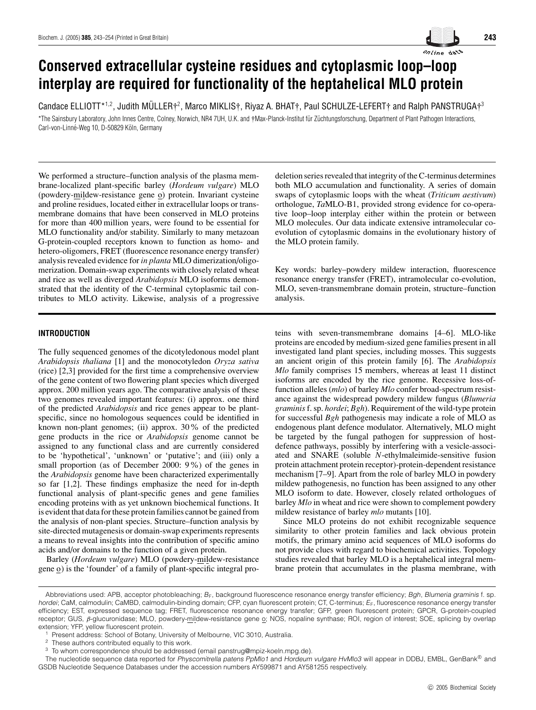

 $\sf{C}$ andace <code>ELLIOTT\*1.2</code> , Judith MÜLLER $\dagger^2$ , Marco MIKLIS $\dagger$ , Riyaz A. BHAT $\dagger$ , Paul SCHULZE-LEFERT $\dagger$  and <code>Ralph PANSTRUGA $\dagger^3$ </code> \*The Sainsbury Laboratory, John Innes Centre, Colney, Norwich, NR4 7UH, U.K. and †Max-Planck-Institut für Züchtungsforschung, Department of Plant Pathogen Interactions, Carl-von-Linné-Weg 10, D-50829 Köln, Germany

We performed a structure–function analysis of the plasma membrane-localized plant-specific barley (*Hordeum vulgare*) MLO (powdery-mildew-resistance gene o) protein. Invariant cysteine and proline residues, located either in extracellular loops or transmembrane domains that have been conserved in MLO proteins for more than 400 million years, were found to be essential for MLO functionality and/or stability. Similarly to many metazoan G-protein-coupled receptors known to function as homo- and hetero-oligomers, FRET (fluorescence resonance energy transfer) analysis revealed evidence for *in planta* MLO dimerization/oligomerization. Domain-swap experiments with closely related wheat and rice as well as diverged *Arabidopsis* MLO isoforms demonstrated that the identity of the C-terminal cytoplasmic tail contributes to MLO activity. Likewise, analysis of a progressive

## **INTRODUCTION**

The fully sequenced genomes of the dicotyledonous model plant *Arabidopsis thaliana* [1] and the monocotyledon *Oryza sativa* (rice) [2,3] provided for the first time a comprehensive overview of the gene content of two flowering plant species which diverged approx. 200 million years ago. The comparative analysis of these two genomes revealed important features: (i) approx. one third of the predicted *Arabidopsis* and rice genes appear to be plantspecific, since no homologous sequences could be identified in known non-plant genomes; (ii) approx. 30% of the predicted gene products in the rice or *Arabidopsis* genome cannot be assigned to any functional class and are currently considered to be 'hypothetical', 'unknown' or 'putative'; and (iii) only a small proportion (as of December 2000: 9%) of the genes in the *Arabidopsis* genome have been characterized experimentally so far [1,2]. These findings emphasize the need for in-depth functional analysis of plant-specific genes and gene families encoding proteins with as yet unknown biochemical functions. It is evident that data for these protein families cannot be gained from the analysis of non-plant species. Structure–function analysis by site-directed mutagenesis or domain-swap experiments represents a means to reveal insights into the contribution of specific amino acids and/or domains to the function of a given protein.

Barley (*Hordeum vulgare*) MLO (powdery-mildew-resistance gene  $\Omega$ ) is the 'founder' of a family of plant-specific integral prodeletion series revealed that integrity of the C-terminus determines both MLO accumulation and functionality. A series of domain swaps of cytoplasmic loops with the wheat (*Triticum aestivum*) orthologue, *Ta*MLO-B1, provided strong evidence for co-operative loop–loop interplay either within the protein or between MLO molecules. Our data indicate extensive intramolecular coevolution of cytoplasmic domains in the evolutionary history of the MLO protein family.

Key words: barley–powdery mildew interaction, fluorescence resonance energy transfer (FRET), intramolecular co-evolution, MLO, seven-transmembrane domain protein, structure–function analysis.

teins with seven-transmembrane domains [4–6]. MLO-like proteins are encoded by medium-sized gene families present in all investigated land plant species, including mosses. This suggests an ancient origin of this protein family [6]. The *Arabidopsis Mlo* family comprises 15 members, whereas at least 11 distinct isoforms are encoded by the rice genome. Recessive loss-offunction alleles (*mlo*) of barley *Mlo* confer broad-spectrum resistance against the widespread powdery mildew fungus (*Blumeria graminis*f. sp. *hordei*; *Bgh*). Requirement of the wild-type protein for successful *Bgh* pathogenesis may indicate a role of MLO as endogenous plant defence modulator. Alternatively, MLO might be targeted by the fungal pathogen for suppression of hostdefence pathways, possibly by interfering with a vesicle-associated and SNARE (soluble *N*-ethylmaleimide-sensitive fusion protein attachment protein receptor)-protein-dependent resistance mechanism [7–9]. Apart from the role of barley MLO in powdery mildew pathogenesis, no function has been assigned to any other MLO isoform to date. However, closely related orthologues of barley *Mlo* in wheat and rice were shown to complement powdery mildew resistance of barley *mlo* mutants [10].

Since MLO proteins do not exhibit recognizable sequence similarity to other protein families and lack obvious protein motifs, the primary amino acid sequences of MLO isoforms do not provide clues with regard to biochemical activities. Topology studies revealed that barley MLO is a heptahelical integral membrane protein that accumulates in the plasma membrane, with

Abbreviations used: APB, acceptor photobleaching;  $B_F$ , background fluorescence resonance energy transfer efficiency; Bgh, Blumeria graminis f. sp. hordei; CaM, calmodulin; CaMBD, calmodulin-binding domain; CFP, cyan fluorescent protein; CT, C-terminus; E<sub>F</sub>, fluorescence resonance energy transfer efficiency; EST, expressed sequence tag; FRET, fluorescence resonance energy transfer; GFP, green fluorescent protein; GPCR, G-protein-coupled receptor; GUS, β-glucuronidase; MLO, powdery-mildew-resistance gene o; NOS, nopaline synthase; ROI, region of interest; SOE, splicing by overlap extension; YFP, yellow fluorescent protein.

Present address: School of Botany, University of Melbourne, VIC 3010, Australia.

<sup>&</sup>lt;sup>2</sup> These authors contributed equally to this work.

<sup>3</sup> To whom correspondence should be addressed (email panstrug@mpiz-koeln.mpg.de).

The nucleotide sequence data reported for Physcomitrella patens PpMlo1 and Hordeum vulgare HvMlo3 will appear in DDBJ, EMBL, GenBank® and GSDB Nucleotide Sequence Databases under the accession numbers AY599871 and AY581255 respectively.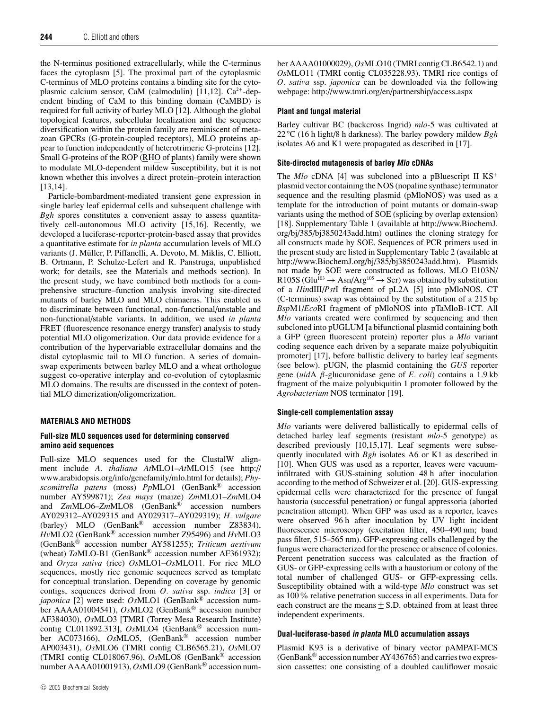the N-terminus positioned extracellularly, while the C-terminus faces the cytoplasm [5]. The proximal part of the cytoplasmic C-terminus of MLO proteins contains a binding site for the cytoplasmic calcium sensor, CaM (calmodulin) [11,12].  $Ca^{2+}$ -dependent binding of CaM to this binding domain (CaMBD) is required for full activity of barley MLO [12]. Although the global topological features, subcellular localization and the sequence diversification within the protein family are reminiscent of metazoan GPCRs (G-protein-coupled receptors), MLO proteins appear to function independently of heterotrimeric G-proteins [12]. Small G-proteins of the ROP (RHO of plants) family were shown to modulate MLO-dependent mildew susceptibility, but it is not known whether this involves a direct protein–protein interaction [13,14].

Particle-bombardment-mediated transient gene expression in single barley leaf epidermal cells and subsequent challenge with *Bgh* spores constitutes a convenient assay to assess quantitatively cell-autonomous MLO activity [15,16]. Recently, we developed a luciferase-reporter-protein-based assay that provides a quantitative estimate for *in planta* accumulation levels of MLO variants (J. Muller, P. Piffanelli, A. Devoto, M. Miklis, C. Elliott, ¨ B. Ortmann, P. Schulze-Lefert and R. Panstruga, unpublished work; for details, see the Materials and methods section). In the present study, we have combined both methods for a comprehensive structure–function analysis involving site-directed mutants of barley MLO and MLO chimaeras. This enabled us to discriminate between functional, non-functional/unstable and non-functional/stable variants. In addition, we used *in planta* FRET (fluorescence resonance energy transfer) analysis to study potential MLO oligomerization. Our data provide evidence for a contribution of the hypervariable extracellular domains and the distal cytoplasmic tail to MLO function. A series of domainswap experiments between barley MLO and a wheat orthologue suggest co-operative interplay and co-evolution of cytoplasmic MLO domains. The results are discussed in the context of potential MLO dimerization/oligomerization.

# **MATERIALS AND METHODS**

## **Full-size MLO sequences used for determining conserved amino acid sequences**

Full-size MLO sequences used for the ClustalW alignment include *A. thaliana At*MLO1–*At*MLO15 (see http:// www.arabidopsis.org/info/genefamily/mlo.html for details); *Physcomitrella patens* (moss) *Pp*MLO1 (GenBank® accession number AY599871); *Zea mays* (maize) *Zm*MLO1–*Zm*MLO4 and *Zm*MLO6–*Zm*MLO8 (GenBank® accession numbers AY029312–AY029315 and AY029317–AY029319); *H. vulgare* (barley) MLO (GenBank® accession number Z83834), *Hv*MLO2 (GenBank® accession number Z95496) and *Hv*MLO3 (GenBank® accession number AY581255); *Triticum aestivum* (wheat) *Ta*MLO-B1 (GenBank® accession number AF361932); and *Oryza sativa* (rice) *Os*MLO1–*Os*MLO11. For rice MLO sequences, mostly rice genomic sequences served as template for conceptual translation. Depending on coverage by genomic contigs, sequences derived from *O. sativa* ssp. *indica* [3] or *japonica* [2] were used: *Os*MLO1 (GenBank® accession number AAAA01004541), *Os*MLO2 (GenBank® accession number AF384030), *Os*MLO3 [TMRI (Torrey Mesa Research Institute) contig CL011892.313], *Os*MLO4 (GenBank® accession number AC073166), *Os*MLO5, (GenBank® accession number AP003431), *Os*MLO6 (TMRI contig CLB6565.21), *Os*MLO7 (TMRI contig CL018067.96), *Os*MLO8 (GenBank® accession number AAAA01001913), *Os*MLO9 (GenBank® accession num-

# **Plant and fungal material**

Barley cultivar BC (backcross Ingrid) *mlo*-5 was cultivated at 22 *◦* C (16 h light/8 h darkness). The barley powdery mildew *Bgh* isolates A6 and K1 were propagated as described in [17].

# **Site-directed mutagenesis of barley Mlo cDNAs**

The *Mlo* cDNA [4] was subcloned into a pBluescript II KS<sup>+</sup> plasmid vector containing the NOS (nopaline synthase) terminator sequence and the resulting plasmid (pMloNOS) was used as a template for the introduction of point mutants or domain-swap variants using the method of SOE (splicing by overlap extension) [18]. Supplementary Table 1 (available at http://www.BiochemJ. org/bj/385/bj3850243add.htm) outlines the cloning strategy for all constructs made by SOE. Sequences of PCR primers used in the present study are listed in Supplementary Table 2 (available at http://www.BiochemJ.org/bj/385/bj3850243add.htm). Plasmids not made by SOE were constructed as follows. MLO E103N/ R105S (Glu<sup>103</sup>  $\rightarrow$  Asn/Arg<sup>105</sup>  $\rightarrow$  Ser) was obtained by substitution of a *Hin*dIII/*Pst*I fragment of pL2A [5] into pMloNOS. CT (C-terminus) swap was obtained by the substitution of a 215 bp *Bsp*M1/*Eco*RI fragment of pMloNOS into pTaMloB-1CT. All *Mlo* variants created were confirmed by sequencing and then subcloned into pUGLUM [a bifunctional plasmid containing both a GFP (green fluorescent protein) reporter plus a *Mlo* variant coding sequence each driven by a separate maize polyubiquitin promoter] [17], before ballistic delivery to barley leaf segments (see below). pUGN, the plasmid containing the *GUS* reporter gene (*uid*A β-glucuronidase gene of *E. coli*) contains a 1.9 kb fragment of the maize polyubiquitin 1 promoter followed by the *Agrobacterium* NOS terminator [19].

# **Single-cell complementation assay**

*Mlo* variants were delivered ballistically to epidermal cells of detached barley leaf segments (resistant *mlo-*5 genotype) as described previously [10,15,17]. Leaf segments were subsequently inoculated with *Bgh* isolates A6 or K1 as described in [10]. When GUS was used as a reporter, leaves were vacuuminfiltrated with GUS-staining solution 48 h after inoculation according to the method of Schweizer et al. [20]. GUS-expressing epidermal cells were characterized for the presence of fungal haustoria (successful penetration) or fungal appressoria (aborted penetration attempt). When GFP was used as a reporter, leaves were observed 96 h after inoculation by UV light incident fluorescence microscopy (excitation filter, 450–490 nm; band pass filter, 515–565 nm). GFP-expressing cells challenged by the fungus were characterized for the presence or absence of colonies. Percent penetration success was calculated as the fraction of GUS- or GFP-expressing cells with a haustorium or colony of the total number of challenged GUS- or GFP-expressing cells. Susceptibility obtained with a wild-type *Mlo* construct was set as 100% relative penetration success in all experiments. Data for each construct are the means  $\pm$  S.D. obtained from at least three independent experiments.

### **Dual-luciferase-based in planta MLO accumulation assays**

Plasmid K93 is a derivative of binary vector pAMPAT-MCS (GenBank® accession number AY436765) and carries two expression cassettes: one consisting of a doubled cauliflower mosaic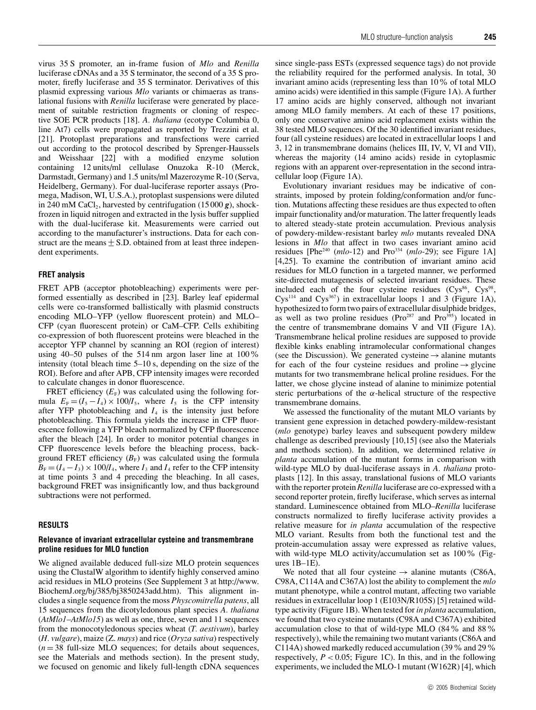virus 35 S promoter, an in-frame fusion of *Mlo* and *Renilla* luciferase cDNAs and a 35 S terminator, the second of a 35 S promoter, firefly luciferase and 35 S terminator. Derivatives of this plasmid expressing various *Mlo* variants or chimaeras as translational fusions with *Renilla* luciferase were generated by placement of suitable restriction fragments or cloning of respective SOE PCR products [18]. *A. thaliana* (ecotype Columbia 0, line At7) cells were propagated as reported by Trezzini et al. [21]. Protoplast preparations and transfections were carried out according to the protocol described by Sprenger-Haussels and Weisshaar [22] with a modified enzyme solution containing 12 units/ml cellulase Onuzoka R-10 (Merck, Darmstadt, Germany) and 1.5 units/ml Mazerozyme R-10 (Serva, Heidelberg, Germany). For dual-luciferase reporter assays (Promega, Madison, WI, U.S.A.), protoplast suspensions were diluted in 240 mM CaCl<sub>2</sub>, harvested by centrifugation  $(15000 g)$ , shockfrozen in liquid nitrogen and extracted in the lysis buffer supplied with the dual-luciferase kit. Measurements were carried out according to the manufacturer's instructions. Data for each construct are the means  $\pm$  S.D. obtained from at least three independent experiments.

#### **FRET analysis**

FRET APB (acceptor photobleaching) experiments were performed essentially as described in [23]. Barley leaf epidermal cells were co-transformed ballistically with plasmid constructs encoding MLO–YFP (yellow fluorescent protein) and MLO– CFP (cyan fluorescent protein) or CaM–CFP. Cells exhibiting co-expression of both fluorescent proteins were bleached in the acceptor YFP channel by scanning an ROI (region of interest) using 40–50 pulses of the 514 nm argon laser line at 100% intensity (total bleach time 5–10 s, depending on the size of the ROI). Before and after APB, CFP intensity images were recorded to calculate changes in donor fluorescence.

FRET efficiency  $(E_F)$  was calculated using the following formula  $E_F = (I_5 - I_4) \times 100/I_5$ , where  $I_5$  is the CFP intensity after YFP photobleaching and  $I_4$  is the intensity just before photobleaching. This formula yields the increase in CFP fluorescence following a YFP bleach normalized by CFP fluorescence after the bleach [24]. In order to monitor potential changes in CFP fluorescence levels before the bleaching process, background FRET efficiency  $(B_F)$  was calculated using the formula  $B_F = (I_4 - I_3) \times 100/I_4$ , where  $I_3$  and  $I_4$  refer to the CFP intensity at time points 3 and 4 preceding the bleaching. In all cases, background FRET was insignificantly low, and thus background subtractions were not performed.

#### **RESULTS**

## **Relevance of invariant extracellular cysteine and transmembrane proline residues for MLO function**

We aligned available deduced full-size MLO protein sequences using the ClustalW algorithm to identify highly conserved amino acid residues in MLO proteins (See Supplement 3 at http://www. BiochemJ.org/bj/385/bj3850243add.htm). This alignment includes a single sequence from the moss *Physcomitrella patens*, all 15 sequences from the dicotyledonous plant species *A. thaliana* (*AtMlo1*–*AtMlo15*) as well as one, three, seven and 11 sequences from the monocotyledonous species wheat (*T. aestivum*), barley (*H. vulgare*), maize (Z. *mays*) and rice (*Oryza sativa*) respectively  $(n = 38$  full-size MLO sequences; for details about sequences, see the Materials and methods section). In the present study, we focused on genomic and likely full-length cDNA sequences

since single-pass ESTs (expressed sequence tags) do not provide the reliability required for the performed analysis. In total, 30 invariant amino acids (representing less than 10% of total MLO amino acids) were identified in this sample (Figure 1A). A further 17 amino acids are highly conserved, although not invariant among MLO family members. At each of these 17 positions, only one conservative amino acid replacement exists within the 38 tested MLO sequences. Of the 30 identified invariant residues, four (all cysteine residues) are located in extracellular loops 1 and 3, 12 in transmembrane domains (helices III, IV, V, VI and VII), whereas the majority (14 amino acids) reside in cytoplasmic regions with an apparent over-representation in the second intracellular loop (Figure 1A).

Evolutionary invariant residues may be indicative of constraints, imposed by protein folding/conformation and/or function. Mutations affecting these residues are thus expected to often impair functionality and/or maturation. The latter frequently leads to altered steady-state protein accumulation. Previous analysis of powdery-mildew-resistant barley *mlo* mutants revealed DNA lesions in *Mlo* that affect in two cases invariant amino acid residues [Phe<sup>240</sup> (*mlo*-12) and Pro<sup>334</sup> (*mlo*-29); see Figure 1A] [4,25]. To examine the contribution of invariant amino acid residues for MLO function in a targeted manner, we performed site-directed mutagenesis of selected invariant residues. These included each of the four cysteine residues  $(Cys<sup>86</sup>, Cys<sup>98</sup>,$ Cys<sup>114</sup> and Cys<sup>367</sup>) in extracellular loops 1 and 3 (Figure 1A), hypothesized to form two pairs of extracellular disulphide bridges, as well as two proline residues ( $Pro^{287}$  and  $Pro^{395}$ ) located in the centre of transmembrane domains V and VII (Figure 1A). Transmembrane helical proline residues are supposed to provide flexible kinks enabling intramolecular conformational changes (see the Discussion). We generated cysteine  $\rightarrow$  alanine mutants for each of the four cysteine residues and proline  $\rightarrow$  glycine mutants for two transmembrane helical proline residues. For the latter, we chose glycine instead of alanine to minimize potential steric perturbations of the  $\alpha$ -helical structure of the respective transmembrane domains.

We assessed the functionality of the mutant MLO variants by transient gene expression in detached powdery-mildew-resistant (*mlo* genotype) barley leaves and subsequent powdery mildew challenge as described previously [10,15] (see also the Materials and methods section). In addition, we determined relative *in planta* accumulation of the mutant forms in comparison with wild-type MLO by dual-luciferase assays in *A. thaliana* protoplasts [12]. In this assay, translational fusions of MLO variants with the reporter protein *Renilla* luciferase are co-expressed with a second reporter protein, firefly luciferase, which serves as internal standard. Luminescence obtained from MLO–*Renilla* luciferase constructs normalized to firefly luciferase activity provides a relative measure for *in planta* accumulation of the respective MLO variant. Results from both the functional test and the protein-accumulation assay were expressed as relative values, with wild-type MLO activity/accumulation set as 100% (Figures 1B–1E).

We noted that all four cysteine  $\rightarrow$  alanine mutants (C86A, C98A, C114A and C367A) lost the ability to complement the *mlo* mutant phenotype, while a control mutant, affecting two variable residues in extracellular loop 1 (E103N/R105S) [5] retained wildtype activity (Figure 1B). When tested for *in planta* accumulation, we found that two cysteine mutants (C98A and C367A) exhibited accumulation close to that of wild-type MLO (84% and 88% respectively), while the remaining two mutant variants (C86A and C114A) showed markedly reduced accumulation (39% and 29% respectively,  $P < 0.05$ ; Figure 1C). In this, and in the following experiments, we included the MLO-1 mutant (W162R) [4], which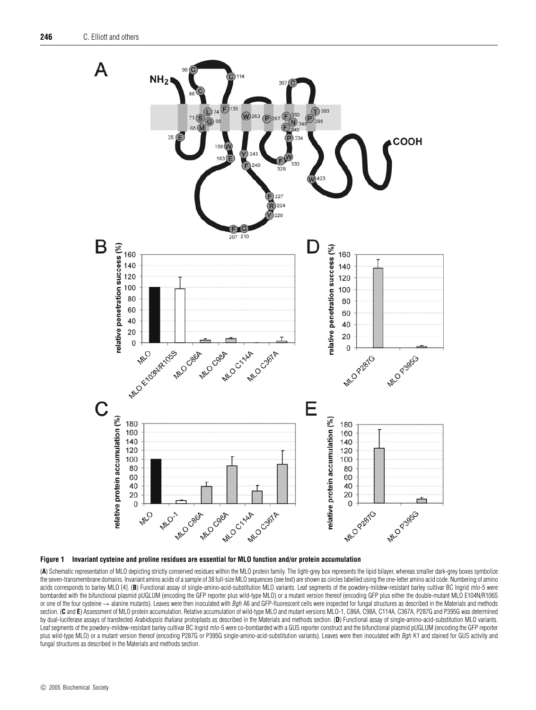

#### **Figure 1 Invariant cysteine and proline residues are essential for MLO function and/or protein accumulation**

(**A**) Schematic representation of MLO depicting strictly conserved residues within the MLO protein family. The light-grey box represents the lipid bilayer, whereas smaller dark-grey boxes symbolize the seven-transmembrane domains. Invariant amino acids of a sample of 38 full-size MLO sequences (see text) are shown as circles labelled using the one-letter amino acid code. Numbering of amino acids corresponds to barley MLO [4]. (B) Functional assay of single-amino-acid-substitution MLO variants. Leaf segments of the powdery-mildew-resistant barley cultivar BC Ingrid mlo-5 were bombarded with the bifunctional plasmid pUGLUM (encoding the GFP reporter plus wild-type MLO) or a mutant version thereof (encoding GFP plus either the double-mutant MLO E104N/R106S or one of the four cysteine → alanine mutants). Leaves were then inoculated with Bgh A6 and GFP-fluorescent cells were inspected for fungal structures as described in the Materials and methods section. (C and E) Assessment of MLO protein accumulation. Relative accumulation of wild-type MLO and mutant versions MLO-1, C86A, C98A, C114A, C367A, P287G and P395G was determined by dual-luciferase assays of transfected Arabidopsis thaliana protoplasts as described in the Materials and methods section. (D) Functional assay of single-amino-acid-substitution MLO variants. Leaf segments of the powdery-mildew-resistant barley cultivar BC Ingrid mlo-5 were co-bombarded with a GUS reporter construct and the bifunctional plasmid pUGLUM (encoding the GFP reporter plus wild-type MLO) or a mutant version thereof (encoding P287G or P395G single-amino-acid-substitution variants). Leaves were then inoculated with *Bgh* K1 and stained for GUS activity and fungal structures as described in the Materials and methods section.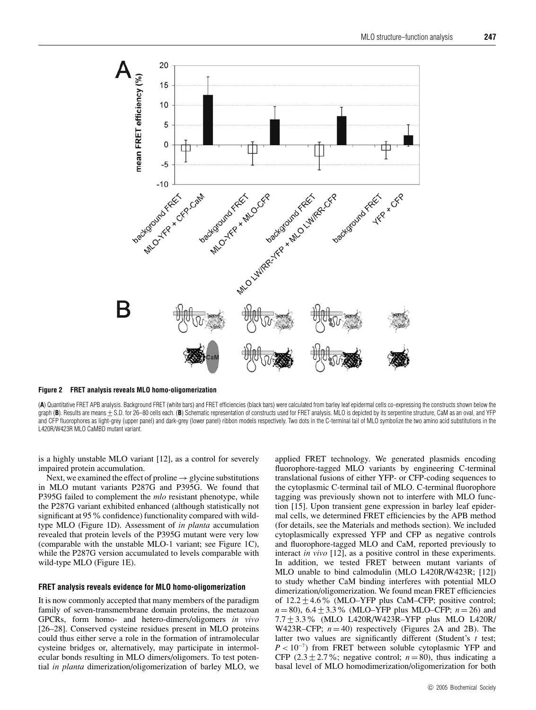

**Figure 2 FRET analysis reveals MLO homo-oligomerization**

(**A**) Quantitative FRET APB analysis. Background FRET (white bars) and FRET efficiencies (black bars) were calculated from barley leaf epidermal cells co-expressing the constructs shown below the graph (B). Results are means  $\pm$  S.D. for 26–80 cells each. (B) Schematic representation of constructs used for FRET analysis. MLO is depicted by its serpentine structure, CaM as an oval, and YFP and CFP fluorophores as light-grey (upper panel) and dark-grey (lower panel) ribbon models respectively. Two dots in the C-terminal tail of MLO symbolize the two amino acid substitutions in the L420R/W423R MLO CaMBD mutant variant.

is a highly unstable MLO variant [12], as a control for severely impaired protein accumulation.

Next, we examined the effect of proline  $\rightarrow$  glycine substitutions in MLO mutant variants P287G and P395G. We found that P395G failed to complement the *mlo* resistant phenotype, while the P287G variant exhibited enhanced (although statistically not significant at 95% confidence) functionality compared with wildtype MLO (Figure 1D). Assessment of *in planta* accumulation revealed that protein levels of the P395G mutant were very low (comparable with the unstable MLO-1 variant; see Figure 1C), while the P287G version accumulated to levels comparable with wild-type MLO (Figure 1E).

#### **FRET analysis reveals evidence for MLO homo-oligomerization**

It is now commonly accepted that many members of the paradigm family of seven-transmembrane domain proteins, the metazoan GPCRs, form homo- and hetero-dimers/oligomers *in vivo* [26–28]. Conserved cysteine residues present in MLO proteins could thus either serve a role in the formation of intramolecular cysteine bridges or, alternatively, may participate in intermolecular bonds resulting in MLO dimers/oligomers. To test potential *in planta* dimerization/oligomerization of barley MLO, we applied FRET technology. We generated plasmids encoding fluorophore-tagged MLO variants by engineering C-terminal translational fusions of either YFP- or CFP-coding sequences to the cytoplasmic C-terminal tail of MLO. C-terminal fluorophore tagging was previously shown not to interfere with MLO function [15]. Upon transient gene expression in barley leaf epidermal cells, we determined FRET efficiencies by the APB method (for details, see the Materials and methods section). We included cytoplasmically expressed YFP and CFP as negative controls and fluorophore-tagged MLO and CaM, reported previously to interact *in vivo* [12], as a positive control in these experiments. In addition, we tested FRET between mutant variants of MLO unable to bind calmodulin (MLO L420R/W423R; [12]) to study whether CaM binding interferes with potential MLO dimerization/oligomerization. We found mean FRET efficiencies of  $12.2 \pm 4.6\%$  (MLO–YFP plus CaM–CFP; positive control; *n* = 80), 6.4 ± 3.3% (MLO–YFP plus MLO–CFP; *n* = 26) and 7.7 ± 3.3% (MLO L420R/W423R–YFP plus MLO L420R/ W423R–CFP;  $n = 40$ ) respectively (Figures 2A and 2B). The latter two values are significantly different (Student's *t* test;  $P < 10^{-7}$ ) from FRET between soluble cytoplasmic YFP and CFP  $(2.3 \pm 2.7\%)$ ; negative control;  $n = 80$ ), thus indicating a basal level of MLO homodimerization/oligomerization for both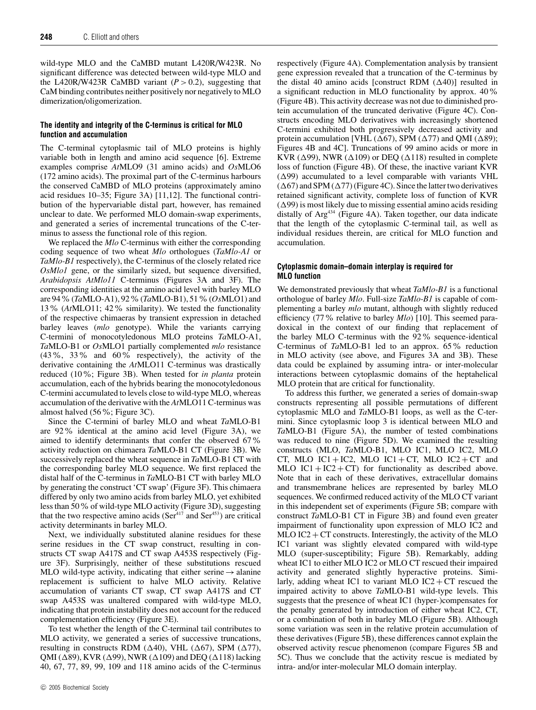wild-type MLO and the CaMBD mutant L420R/W423R. No significant difference was detected between wild-type MLO and the L420R/W423R CaMBD variant  $(P > 0.2)$ , suggesting that CaM binding contributes neither positively nor negatively to MLO dimerization/oligomerization.

## **The identity and integrity of the C-terminus is critical for MLO function and accumulation**

The C-terminal cytoplasmic tail of MLO proteins is highly variable both in length and amino acid sequence [6]. Extreme examples comprise *At*MLO9 (31 amino acids) and *Os*MLO6 (172 amino acids). The proximal part of the C-terminus harbours the conserved CaMBD of MLO proteins (approximately amino acid residues 10–35; Figure 3A) [11,12]. The functional contribution of the hypervariable distal part, however, has remained unclear to date. We performed MLO domain-swap experiments, and generated a series of incremental truncations of the C-terminus to assess the functional role of this region.

We replaced the *Mlo* C-terminus with either the corresponding coding sequence of two wheat *Mlo* orthologues (*TaMlo-A1* or *TaMlo-B1* respectively), the C-terminus of the closely related rice *OsMlo1* gene, or the similarly sized, but sequence diversified, *Arabidopsis AtMlo11* C-terminus (Figures 3A and 3F). The corresponding identities at the amino acid level with barley MLO are 94%(*Ta*MLO-A1), 92%(*Ta*MLO-B1), 51%(*Os*MLO1) and 13% (*At*MLO11; 42% similarity). We tested the functionality of the respective chimaeras by transient expression in detached barley leaves (*mlo* genotype). While the variants carrying C-termini of monocotyledonous MLO proteins *Ta*MLO-A1, *Ta*MLO-B1 or *Os*MLO1 partially complemented *mlo* resistance (43%, 33% and 60% respectively), the activity of the derivative containing the *At*MLO11 C-terminus was drastically reduced (10%; Figure 3B). When tested for *in planta* protein accumulation, each of the hybrids bearing the monocotyledonous C-termini accumulated to levels close to wild-type MLO, whereas accumulation of the derivative with the *At*MLO11 C-terminus was almost halved (56%; Figure 3C).

Since the C-termini of barley MLO and wheat *Ta*MLO-B1 are 92% identical at the amino acid level (Figure 3A), we aimed to identify determinants that confer the observed 67% activity reduction on chimaera *Ta*MLO-B1 CT (Figure 3B). We successively replaced the wheat sequence in *Ta*MLO-B1 CT with the corresponding barley MLO sequence. We first replaced the distal half of the C-terminus in *Ta*MLO-B1 CT with barley MLO by generating the construct 'CT swap' (Figure 3F). This chimaera differed by only two amino acids from barley MLO, yet exhibited less than 50% of wild-type MLO activity (Figure 3D), suggesting that the two respective amino acids ( $\text{Ser}^{417}$  and  $\text{Ser}^{453}$ ) are critical activity determinants in barley MLO.

Next, we individually substituted alanine residues for these serine residues in the CT swap construct, resulting in constructs CT swap A417S and CT swap A453S respectively (Figure 3F). Surprisingly, neither of these substitutions rescued MLO wild-type activity, indicating that either serine  $\rightarrow$  alanine replacement is sufficient to halve MLO activity. Relative accumulation of variants CT swap, CT swap A417S and CT swap A453S was unaltered compared with wild-type MLO, indicating that protein instability does not account for the reduced complementation efficiency (Figure 3E).

To test whether the length of the C-terminal tail contributes to MLO activity, we generated a series of successive truncations, resulting in constructs RDM ( $\Delta$ 40), VHL ( $\Delta$ 67), SPM ( $\Delta$ 77), QMI ( $\Delta$ 89), KVR ( $\Delta$ 99), NWR ( $\Delta$ 109) and DEQ ( $\Delta$ 118) lacking 40, 67, 77, 89, 99, 109 and 118 amino acids of the C-terminus respectively (Figure 4A). Complementation analysis by transient gene expression revealed that a truncation of the C-terminus by the distal 40 amino acids [construct RDM  $(∆40)$ ] resulted in a significant reduction in MLO functionality by approx. 40% (Figure 4B). This activity decrease was not due to diminished protein accumulation of the truncated derivative (Figure 4C). Constructs encoding MLO derivatives with increasingly shortened C-termini exhibited both progressively decreased activity and protein accumulation [VHL ( $\Delta$ 67), SPM ( $\Delta$ 77) and QMI ( $\Delta$ 89); Figures 4B and 4C]. Truncations of 99 amino acids or more in KVR ( $\Delta$ 99), NWR ( $\Delta$ 109) or DEQ ( $\Delta$ 118) resulted in complete loss of function (Figure 4B). Of these, the inactive variant KVR  $(\Delta 99)$  accumulated to a level comparable with variants VHL  $(\Delta 67)$  and SPM  $(\Delta 77)$  (Figure 4C). Since the latter two derivatives retained significant activity, complete loss of function of KVR  $(\Delta 99)$  is most likely due to missing essential amino acids residing distally of Arg<sup>434</sup> (Figure 4A). Taken together, our data indicate that the length of the cytoplasmic C-terminal tail, as well as individual residues therein, are critical for MLO function and accumulation.

### **Cytoplasmic domain–domain interplay is required for MLO function**

We demonstrated previously that wheat *TaMlo-B1* is a functional orthologue of barley *Mlo*. Full-size *TaMlo-B1* is capable of complementing a barley *mlo* mutant, although with slightly reduced efficiency (77% relative to barley *Mlo*) [10]. This seemed paradoxical in the context of our finding that replacement of the barley MLO C-terminus with the 92% sequence-identical C-terminus of *Ta*MLO-B1 led to an approx. 65% reduction in MLO activity (see above, and Figures 3A and 3B). These data could be explained by assuming intra- or inter-molecular interactions between cytoplasmic domains of the heptahelical MLO protein that are critical for functionality.

To address this further, we generated a series of domain-swap constructs representing all possible permutations of different cytoplasmic MLO and *Ta*MLO-B1 loops, as well as the C-termini. Since cytoplasmic loop 3 is identical between MLO and *Ta*MLO-B1 (Figure 5A), the number of tested combinations was reduced to nine (Figure 5D). We examined the resulting constructs (MLO, *Ta*MLO-B1, MLO IC1, MLO IC2, MLO CT, MLO IC1 + IC2, MLO IC1 + CT, MLO IC2 + CT and MLO IC1 + IC2 + CT) for functionality as described above. Note that in each of these derivatives, extracellular domains and transmembrane helices are represented by barley MLO sequences. We confirmed reduced activity of the MLO CT variant in this independent set of experiments (Figure 5B; compare with construct *Ta*MLO-B1 CT in Figure 3B) and found even greater impairment of functionality upon expression of MLO IC2 and MLO IC2  $+$  CT constructs. Interestingly, the activity of the MLO IC1 variant was slightly elevated compared with wild-type MLO (super-susceptibility; Figure 5B). Remarkably, adding wheat IC1 to either MLO IC2 or MLO CT rescued their impaired activity and generated slightly hyperactive proteins. Similarly, adding wheat IC1 to variant MLO  $IC2 + CT$  rescued the impaired activity to above *Ta*MLO-B1 wild-type levels. This suggests that the presence of wheat IC1 (hyper-)compensates for the penalty generated by introduction of either wheat IC2, CT, or a combination of both in barley MLO (Figure 5B). Although some variation was seen in the relative protein accumulation of these derivatives (Figure 5B), these differences cannot explain the observed activity rescue phenomenon (compare Figures 5B and 5C). Thus we conclude that the activity rescue is mediated by intra- and/or inter-molecular MLO domain interplay.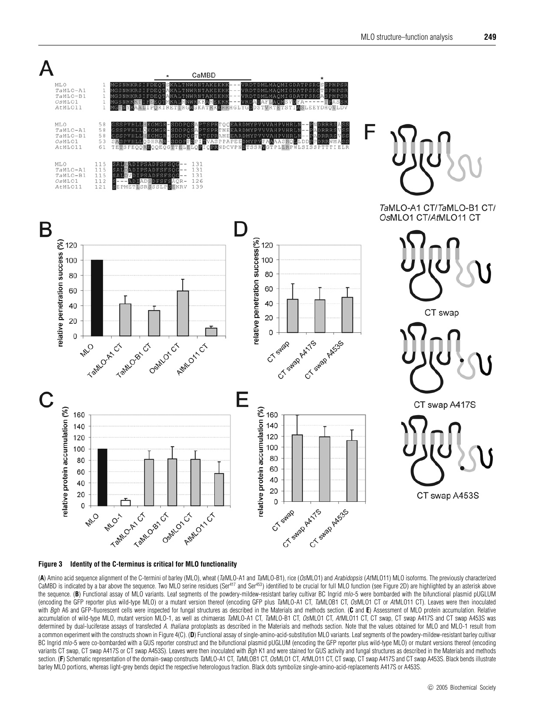



(**A**) Amino acid sequence alignment of the C-termini of barley (MLO), wheat (TaMLO-A1 and TaMLO-B1), rice (OsMLO1) and Arabidopsis (AtMLO11) MLO isoforms. The previously characterized CaMBD is indicated by a bar above the sequence. Two MLO serine residues  $(Ser<sup>457</sup>$  and Ser<sup>453</sup>) identified to be crucial for full MLO function (see Figure 2D) are highlighted by an asterisk above the sequence. (**B**) Functional assay of MLO variants. Leaf segments of the powdery-mildew-resistant barley cultivar BC Ingrid mlo-5 were bombarded with the bifunctional plasmid pUGLUM (encoding the GFP reporter plus wild-type MLO) or a mutant version thereof (encoding GFP plus TaMLO-A1 CT, TaMLOB1 CT, OsMLO1 CT or AtMLO11 CT). Leaves were then inoculated with Bgh A6 and GFP-fluorescent cells were inspected for fungal structures as described in the Materials and methods section. (**C** and **E**) Assessment of MLO protein accumulation. Relative accumulation of wild-type MLO, mutant version MLO-1, as well as chimaeras TaMLO-A1 CT, TaMLO-B1 CT, OsMLO1 CT, AtMLO11 CT, CT swap, CT swap A417S and CT swap A453S was determined by dual-luciferase assays of transfected A. thaliana protoplasts as described in the Materials and methods section. Note that the values obtained for MLO and MLO-1 result from a common experiment with the constructs shown in Figure 4(C). (D) Functional assay of single-amino-acid-substitution MLO variants. Leaf segments of the powdery-mildew-resistant barley cultivar BC Ingrid mlo-5 were co-bombarded with a GUS reporter construct and the bifunctional plasmid pUGLUM (encoding the GFP reporter plus wild-type MLO) or mutant versions thereof (encoding variants CT swap, CT swap A417S or CT swap A453S). Leaves were then inoculated with Bgh K1 and were stained for GUS activity and fungal structures as described in the Materials and methods section. (F) Schematic representation of the domain-swap constructs TaMLO-A1 CT, TaMLOB1 CT, OsMLO1 CT, AtMLO11 CT, CT swap, CT swap A417S and CT swap A453S. Black bends illustrate barley MLO portions, whereas light-grey bends depict the respective heterologous fraction. Black dots symbolize single-amino-acid-replacements A417S or A453S.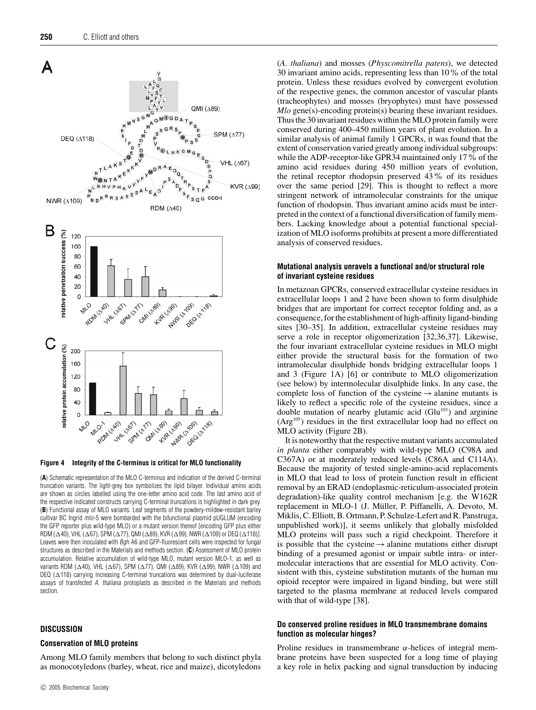

**Figure 4 Integrity of the C-terminus is critical for MLO functionality**

(**A**) Schematic representation of the MLO C-terminus and indication of the derived C-terminal truncation variants. The light-grey box symbolizes the lipid bilayer. Individual amino acids are shown as circles labelled using the one-letter amino acid code. The last amino acid of the respective indicated constructs carrying C-terminal truncations is highlighted in dark grey. (**B**) Functional assay of MLO variants. Leaf segments of the powdery-mildew-resistant barley cultivar BC Ingrid mlo-5 were bombarded with the bifunctional plasmid pUGLUM (encoding the GFP reporter plus wild-type MLO) or a mutant version thereof [encoding GFP plus either RDM ( $\Delta$ 40), VHL ( $\Delta$ 67), SPM ( $\Delta$ 77), QMI ( $\Delta$ 89), KVR ( $\Delta$ 99), NWR ( $\Delta$ 109) or DEQ ( $\Delta$ 118)]. Leaves were then inoculated with Bgh A6 and GFP-fluorescent cells were inspected for fungal structures as described in the Materials and methods section. (**C**) Assessment of MLO protein accumulation. Relative accumulation of wild-type MLO, mutant version MLO-1, as well as variants RDM ( $\Delta$ 40), VHL ( $\Delta$ 67), SPM ( $\Delta$ 77), QMI ( $\Delta$ 89), KVR ( $\Delta$ 99), NWR ( $\Delta$ 109) and DEQ ( $\Delta$ 118) carrying increasing C-terminal truncations was determined by dual-luciferase assays of transfected A. thaliana protoplasts as described in the Materials and methods section.

#### **DISCUSSION**

#### **Conservation of MLO proteins**

Among MLO family members that belong to such distinct phyla as monocotyledons (barley, wheat, rice and maize), dicotyledons (*A. thaliana*) and mosses (*Physcomitrella patens*), we detected 30 invariant amino acids, representing less than 10% of the total protein. Unless these residues evolved by convergent evolution of the respective genes, the common ancestor of vascular plants (tracheophytes) and mosses (bryophytes) must have possessed *Mlo* gene(s)-encoding protein(s) bearing these invariant residues. Thus the 30 invariant residues within the MLO protein family were conserved during 400–450 million years of plant evolution. In a similar analysis of animal family 1 GPCRs, it was found that the extent of conservation varied greatly among individual subgroups: while the ADP-receptor-like GPR34 maintained only 17% of the amino acid residues during 450 million years of evolution, the retinal receptor rhodopsin preserved 43% of its residues over the same period [29]. This is thought to reflect a more stringent network of intramolecular constraints for the unique function of rhodopsin. Thus invariant amino acids must be interpreted in the context of a functional diversification of family members. Lacking knowledge about a potential functional specialization of MLO isoforms prohibits at present a more differentiated analysis of conserved residues.

#### **Mutational analysis unravels a functional and/or structural role of invariant cysteine residues**

In metazoan GPCRs, conserved extracellular cysteine residues in extracellular loops 1 and 2 have been shown to form disulphide bridges that are important for correct receptor folding and, as a consequence, for the establishment of high-affinity ligand-binding sites [30–35]. In addition, extracellular cysteine residues may serve a role in receptor oligomerization [32,36,37]. Likewise, the four invariant extracellular cysteine residues in MLO might either provide the structural basis for the formation of two intramolecular disulphide bonds bridging extracellular loops 1 and 3 (Figure 1A) [6] or contribute to MLO oligomerization (see below) by intermolecular disulphide links. In any case, the complete loss of function of the cysteine  $\rightarrow$  alanine mutants is likely to reflect a specific role of the cysteine residues, since a double mutation of nearby glutamic acid  $(Glu<sup>103</sup>)$  and arginine (Arg105) residues in the first extracellular loop had no effect on MLO activity (Figure 2B).

It is noteworthy that the respective mutant variants accumulated *in planta* either comparably with wild-type MLO (C98A and C367A) or at moderately reduced levels (C86A and C114A). Because the majority of tested single-amino-acid replacements in MLO that lead to loss of protein function result in efficient removal by an ERAD (endoplasmic-reticulum-associated protein degradation)-like quality control mechanism [e.g. the W162R replacement in MLO-1 (J. Muller, P. Piffanelli, A. Devoto, M. ¨ Miklis, C. Elliott, B. Ortmann, P. Schulze-Lefert and R. Panstruga, unpublished work)], it seems unlikely that globally misfolded MLO proteins will pass such a rigid checkpoint. Therefore it is possible that the cysteine  $\rightarrow$  alanine mutations either disrupt binding of a presumed agonist or impair subtle intra- or intermolecular interactions that are essential for MLO activity. Consistent with this, cysteine substitution mutants of the human mu opioid receptor were impaired in ligand binding, but were still targeted to the plasma membrane at reduced levels compared with that of wild-type [38].

### **Do conserved proline residues in MLO transmembrane domains function as molecular hinges?**

Proline residues in transmembrane  $\alpha$ -helices of integral membrane proteins have been suspected for a long time of playing a key role in helix packing and signal transduction by inducing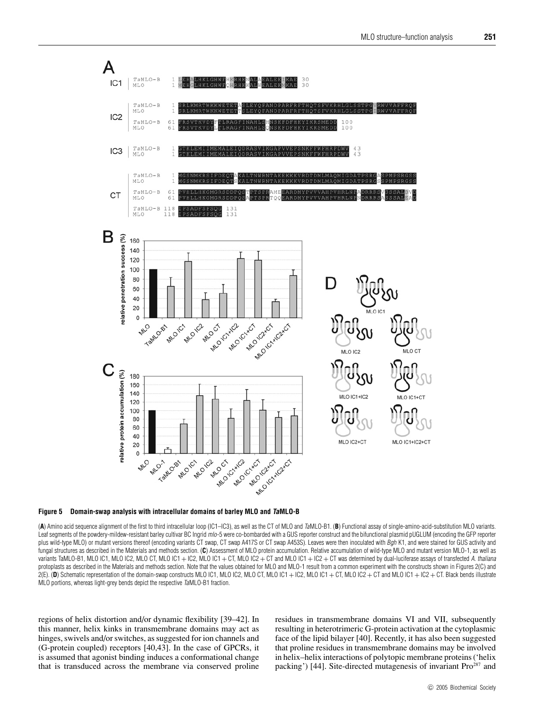

**Figure 5 Domain-swap analysis with intracellular domains of barley MLO and TaMLO-B**

(**A**) Amino acid sequence alignment of the first to third intracellular loop (IC1–IC3), as well as the CT of MLO and TaMLO-B1. (**B**) Functional assay of single-amino-acid-substitution MLO variants. Leaf segments of the powdery-mildew-resistant barley cultivar BC Ingrid mlo-5 were co-bombarded with a GUS reporter construct and the bifunctional plasmid pUGLUM (encoding the GFP reporter plus wild-type MLO) or mutant versions thereof (encoding variants CT swap, CT swap A417S or CT swap A453S). Leaves were then inoculated with Bgh K1, and were stained for GUS activity and fungal structures as described in the Materials and methods section. (**C**) Assessment of MLO protein accumulation. Relative accumulation of wild-type MLO and mutant version MLO-1, as well as variants TaMLO-B1, MLO IC1, MLO IC2, MLO CT, MLO IC1 + IC2, MLO IC1 + CT, MLO IC2 + CT and MLO IC1 + IC2 + CT was determined by dual-luciferase assays of transfected A. thaliana protoplasts as described in the Materials and methods section. Note that the values obtained for MLO and MLO-1 result from a common experiment with the constructs shown in Figures 2(C) and 2(E). (**D**) Schematic representation of the domain-swap constructs MLO IC1, MLO IC2, MLO CT, MLO IC1 + IC2, MLO IC1 + CT, MLO IC2 + CT and MLO IC1 + IC2 + CT. Black bends illustrate MLO portions, whereas light-grey bends depict the respective TaMLO-B1 fraction.

regions of helix distortion and/or dynamic flexibility [39–42]. In this manner, helix kinks in transmembrane domains may act as hinges, swivels and/or switches, as suggested for ion channels and (G-protein coupled) receptors [40,43]. In the case of GPCRs, it is assumed that agonist binding induces a conformational change that is transduced across the membrane via conserved proline

residues in transmembrane domains VI and VII, subsequently resulting in heterotrimeric G-protein activation at the cytoplasmic face of the lipid bilayer [40]. Recently, it has also been suggested that proline residues in transmembrane domains may be involved in helix–helix interactions of polytopic membrane proteins ('helix packing') [44]. Site-directed mutagenesis of invariant Pro<sup>287</sup> and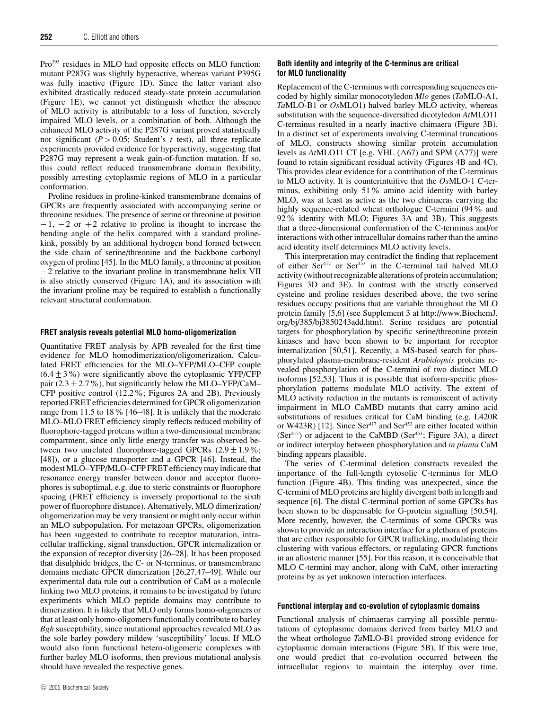Pro<sup>395</sup> residues in MLO had opposite effects on MLO function: mutant P287G was slightly hyperactive, whereas variant P395G was fully inactive (Figure 1D). Since the latter variant also exhibited drastically reduced steady-state protein accumulation (Figure 1E), we cannot yet distinguish whether the absence of MLO activity is attributable to a loss of function, severely impaired MLO levels, or a combination of both. Although the enhanced MLO activity of the P287G variant proved statistically not significant ( $P > 0.05$ ; Student's *t* test), all three replicate experiments provided evidence for hyperactivity, suggesting that P287G may represent a weak gain-of-function mutation. If so, this could reflect reduced transmembrane domain flexibility, possibly arresting cytoplasmic regions of MLO in a particular conformation.

Proline residues in proline-kinked transmembrane domains of GPCRs are frequently associated with accompanying serine or threonine residues. The presence of serine or threonine at position  $-1$ ,  $-2$  or  $+2$  relative to proline is thought to increase the bending angle of the helix compared with a standard prolinekink, possibly by an additional hydrogen bond formed between the side chain of serine/threonine and the backbone carbonyl oxygen of proline [45]. In the MLO family, a threonine at position −2 relative to the invariant proline in transmembrane helix VII is also strictly conserved (Figure 1A), and its association with the invariant proline may be required to establish a functionally relevant structural conformation.

#### **FRET analysis reveals potential MLO homo-oligomerization**

Quantitative FRET analysis by APB revealed for the first time evidence for MLO homodimerization/oligomerization. Calculated FRET efficiencies for the MLO–YFP/MLO–CFP couple  $(6.4 + 3\%)$  were significantly above the cytoplasmic YFP/CFP pair (2.3  $\pm$  2.7%), but significantly below the MLO–YFP/CaM– CFP positive control (12.2%; Figures 2A and 2B). Previously reported FRET efficiencies determined for GPCR oligomerization range from 11.5 to 18% [46–48]. It is unlikely that the moderate MLO–MLO FRET efficiency simply reflects reduced mobility of fluorophore-tagged proteins within a two-dimensional membrane compartment, since only little energy transfer was observed between two unrelated fluorophore-tagged GPCRs  $(2.9 \pm 1.9\%;$ [48]), or a glucose transporter and a GPCR [46]. Instead, the modest MLO–YFP/MLO–CFP FRET efficiency may indicate that resonance energy transfer between donor and acceptor fluorophores is suboptimal, e.g. due to steric constraints or fluorophore spacing (FRET efficiency is inversely proportional to the sixth power of fluorophore distance). Alternatively, MLO dimerization/ oligomerization may be very transient or might only occur within an MLO subpopulation. For metazoan GPCRs, oligomerization has been suggested to contribute to receptor maturation, intracellular trafficking, signal transduction, GPCR internalization or the expansion of receptor diversity [26–28]. It has been proposed that disulphide bridges, the C- or N-terminus, or transmembrane domains mediate GPCR dimerization [26,27,47–49]. While our experimental data rule out a contribution of CaM as a molecule linking two MLO proteins, it remains to be investigated by future experiments which MLO peptide domains may contribute to dimerization. It is likely that MLO only forms homo-oligomers or that at least only homo-oligomers functionally contribute to barley *Bgh* susceptibility, since mutational approaches revealed MLO as the sole barley powdery mildew 'susceptibility' locus. If MLO would also form functional hetero-oligomeric complexes with further barley MLO isoforms, then previous mutational analysis should have revealed the respective genes.

## **Both identity and integrity of the C-terminus are critical for MLO functionality**

Replacement of the C-terminus with corresponding sequences encoded by highly similar monocotyledon *Mlo* genes (*Ta*MLO-A1, *Ta*MLO-B1 or *Os*MLO1) halved barley MLO activity, whereas substitution with the sequence-diversified dicotyledon *At*MLO11 C-terminus resulted in a nearly inactive chimaera (Figure 3B). In a distinct set of experiments involving C-terminal truncations of MLO, constructs showing similar protein accumulation levels as  $AtMLO11$  CT [e.g. VHL  $(\Delta 67)$  and SPM  $(\Delta 77)$ ] were found to retain significant residual activity (Figures 4B and 4C). This provides clear evidence for a contribution of the C-terminus to MLO activity. It is counterintuitive that the *Os*MLO-1 C-terminus, exhibiting only 51% amino acid identity with barley MLO, was at least as active as the two chimaeras carrying the highly sequence-related wheat orthologue C-termini (94% and 92% identity with MLO; Figures 3A and 3B). This suggests that a three-dimensional conformation of the C-terminus and/or interactions with other intracellular domains rather than the amino acid identity itself determines MLO activity levels.

This interpretation may contradict the finding that replacement of either Ser<sup>417</sup> or Ser<sup>453</sup> in the C-terminal tail halved MLO activity (without recognizable alterations of protein accumulation; Figures 3D and 3E). In contrast with the strictly conserved cysteine and proline residues described above, the two serine residues occupy positions that are variable throughout the MLO protein family [5,6] (see Supplement 3 at http://www.BiochemJ. org/bj/385/bj3850243add.htm). Serine residues are potential targets for phosphorylation by specific serine/threonine protein kinases and have been shown to be important for receptor internalization [50,51]. Recently, a MS-based search for phosphorylated plasma-membrane-resident *Arabidopsis* proteins revealed phosphorylation of the C-termini of two distinct MLO isoforms [52,53]. Thus it is possible that isoform-specific phosphorylation patterns modulate MLO activity. The extent of MLO activity reduction in the mutants is reminiscent of activity impairment in MLO CaMBD mutants that carry amino acid substitutions of residues critical for CaM binding (e.g. L420R or W423R) [12]. Since Ser<sup>417</sup> and Ser<sup>453</sup> are either located within  $(Ser<sup>417</sup>)$  or adjacent to the CaMBD (Ser<sup>453</sup>; Figure 3A), a direct or indirect interplay between phosphorylation and *in planta* CaM binding appears plausible.

The series of C-terminal deletion constructs revealed the importance of the full-length cytosolic C-terminus for MLO function (Figure 4B). This finding was unexpected, since the C-termini of MLO proteins are highly divergent both in length and sequence [6]. The distal C-terminal portion of some GPCRs has been shown to be dispensable for G-protein signalling [50,54]. More recently, however, the C-terminus of some GPCRs was shown to provide an interaction interface for a plethora of proteins that are either responsible for GPCR trafficking, modulating their clustering with various effectors, or regulating GPCR functions in an allosteric manner [55]. For this reason, it is conceivable that MLO C-termini may anchor, along with CaM, other interacting proteins by as yet unknown interaction interfaces.

#### **Functional interplay and co-evolution of cytoplasmic domains**

Functional analysis of chimaeras carrying all possible permutations of cytoplasmic domains derived from barley MLO and the wheat orthologue *Ta*MLO-B1 provided strong evidence for cytoplasmic domain interactions (Figure 5B). If this were true, one would predict that co-evolution occurred between the intracellular regions to maintain the interplay over time.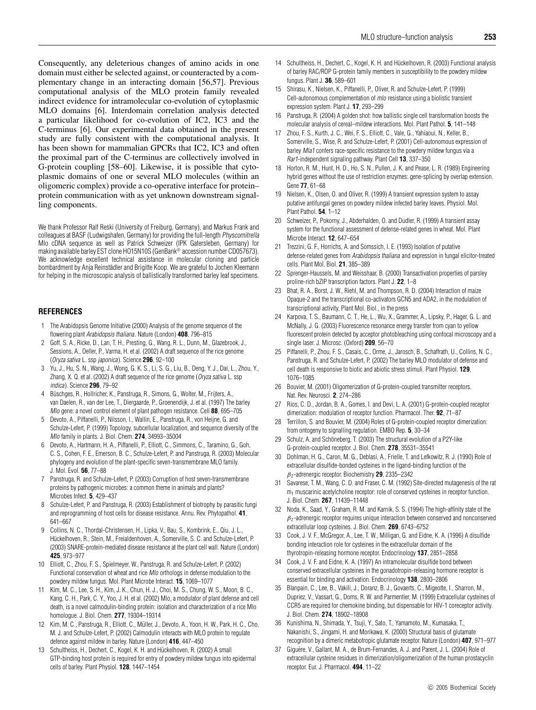Consequently, any deleterious changes of amino acids in one domain must either be selected against, or counteracted by a complementary change in an interacting domain [56,57]. Previous computational analysis of the MLO protein family revealed indirect evidence for intramolecular co-evolution of cytoplasmic MLO domains [6]. Interdomain correlation analysis detected a particular likelihood for co-evolution of IC2, IC3 and the C-terminus [6]. Our experimental data obtained in the present study are fully consistent with the computational analysis. It has been shown for mammalian GPCRs that IC2, IC3 and often the proximal part of the C-terminus are collectively involved in G-protein coupling [58–60]. Likewise, it is possible that cytoplasmic domains of one or several MLO molecules (within an oligomeric complex) provide a co-operative interface for protein– protein communication with as yet unknown downstream signalling components.

We thank Professor Ralf Reski (University of Freiburg, Germany), and Markus Frank and colleagues at BASF (Ludwigshafen, Germany) for providing the full-length Physcomitrella Mlo cDNA sequence as well as Patrick Schweizer (IPK Gatersleben, Germany) for making available barley EST clone HO15N10S (GenBank® accession number CD057673). We acknowledge excellent technical assistance in molecular cloning and particle bombardment by Anja Reinstädler and Brigitte Koop. We are grateful to Jochen Kleemann for helping in the microscopic analysis of ballistically transformed barley leaf specimens.

## **REFERENCES**

- 1 The Arabidopsis Genome Initiative (2000) Analysis of the genome sequence of the flowering plant Arabidopsis thaliana. Nature (London) **408**, 796–815
- 2 Goff, S. A., Ricke, D., Lan, T. H., Presting, G., Wang, R. L., Dunn, M., Glazebrook, J., Sessions, A., Oeller, P., Varma, H. et al. (2002) A draft sequence of the rice genome (Oryza sativa L. ssp japonica). Science **296**, 92–100
- 3 Yu, J., Hu, S. N., Wang, J., Wong, G. K. S., Li, S. G., Liu, B., Deng, Y. J., Dai, L., Zhou, Y., Zhang, X. Q. et al. (2002) A draft sequence of the rice genome (Oryza sativa L. ssp indica). Science **296**, 79–92
- 4 Büschges, R., Hollricher, K., Panstruga, R., Simons, G., Wolter, M., Frijters, A., van Daelen, R., van der Lee, T., Diergaarde, P., Groenendijk, J. et al. (1997) The barley Mlo gene: a novel control element of plant pathogen resistance. Cell **88**, 695–705
- 5 Devoto, A., Piffanelli, P., Nilsson, I., Wallin, E., Panstruga, R., von Heijne, G. and Schulze-Lefert, P. (1999) Topology, subcellular localization, and sequence diversity of the Mlo family in plants. J. Biol. Chem. **274**, 34993–35004
- 6 Devoto, A., Hartmann, H. A., Piffanelli, P., Elliott, C., Simmons, C., Taramino, G., Goh, C. S., Cohen, F. E., Emerson, B. C., Schulze-Lefert, P. and Panstruga, R. (2003) Molecular phylogeny and evolution of the plant-specific seven-transmembrane MLO family. J. Mol. Evol. **56**, 77–88
- 7 Panstruga, R. and Schulze-Lefert, P. (2003) Corruption of host seven-transmembrane proteins by pathogenic microbes: a common theme in animals and plants? Microbes Infect. **5**, 429–437
- 8 Schulze-Lefert, P. and Panstruga, R. (2003) Establishment of biotrophy by parasitic fungi and reprogramming of host cells for disease resistance. Annu. Rev. Phytopathol. **41**, 641–667
- 9 Collins, N. C., Thordal-Christensen, H., Lipka, V., Bau, S., Kombrink, E., Qiu, J. L., Hückelhoven, R., Stein, M., Freialdenhoven, A., Somerville, S. C. and Schulze-Lefert, P. (2003) SNARE-protein-mediated disease resistance at the plant cell wall. Nature (London) **425**, 973–977
- 10 Elliott, C., Zhou, F. S., Spielmeyer, W., Panstruga, R. and Schulze-Lefert, P. (2002) Functional conservation of wheat and rice MIo orthologs in defense modulation to the powdery mildew fungus. Mol. Plant Microbe Interact. **15**, 1069–1077
- 11 Kim, M. C., Lee, S. H., Kim, J. K., Chun, H. J., Choi, M. S., Chung, W. S., Moon, B. C., Kang, C. H., Park, C. Y., Yoo, J. H. et al. (2002) Mlo, a modulator of plant defense and cell death, is a novel calmodulin-binding protein: isolation and characterization of a rice Mlo homologue. J. Biol. Chem. **277**, 19304–19314
- 12 Kim, M. C., Panstruga, R., Elliott, C., Müller, J., Devoto, A., Yoon, H. W., Park, H. C., Cho, M. J. and Schulze-Lefert, P. (2002) Calmodulin interacts with MLO protein to regulate defence against mildew in barley. Nature (London) **416**, 447–450
- 13 Schultheiss, H., Dechert, C., Kogel, K. H. and Hückelhoven, R. (2002) A small GTP-binding host protein is required for entry of powdery mildew fungus into epidermal cells of barley. Plant Physiol. **128**, 1447–1454
- 14 Schultheiss, H., Dechert, C., Kogel, K. H. and Hückelhoven, R. (2003) Functional analysis of barley RAC/ROP G-protein family members in susceptibility to the powdery mildew fungus. Plant J. **36**, 589–601
- 15 Shirasu, K., Nielsen, K., Piffanelli, P., Oliver, R. and Schulze-Lefert, P. (1999) Cell-autonomous complementation of mlo resistance using a biolistic transient expression system. Plant J. **17**, 293–299
- 16 Panstruga, R. (2004) A golden shot: how ballistic single cell transformation boosts the molecular analysis of cereal–mildew interactions. Mol. Plant Pathol. **5**, 141–148
- 17 Zhou, F. S., Kurth, J. C., Wei, F. S., Elliott, C., Vale, G., Yahiaoui, N., Keller, B., Somerville, S., Wise, R. and Schulze-Lefert, P. (2001) Cell-autonomous expression of barley Mla1 confers race-specific resistance to the powdery mildew fungus via a Rar1-independent signaling pathway. Plant Cell **13**, 337–350
- 18 Horton, R. M., Hunt, H. D., Ho, S. N., Pullen, J. K. and Pease, L. R. (1989) Engineering hybrid genes without the use of restriction enzymes: gene-splicing by overlap extension. Gene **77**, 61–68
- 19 Nielsen, K., Olsen, O. and Oliver, R. (1999) A transient expression system to assay putative antifungal genes on powdery mildew infected barley leaves. Physiol. Mol. Plant Pathol. **54**, 1–12
- 20 Schweizer, P., Pokorny, J., Abderhalden, O. and Dudler, R. (1999) A transient assay system for the functional assessment of defense-related genes in wheat. Mol. Plant Microbe Interact. **12**, 647–654
- 21 Trezzini, G. F., Horrichs, A. and Somssich, I. E. (1993) Isolation of putative defense-related genes from Arabidopsis thaliana and expression in fungal elicitor-treated cells. Plant Mol. Biol. **21**, 385–389
- 22 Sprenger-Haussels, M. and Weisshaar, B. (2000) Transactivation properties of parsley proline-rich bZIP transcription factors. Plant J. **22**, 1–8
- 23 Bhat, R. A., Borst, J. W., Riehl, M. and Thompson, R. D. (2004) Interaction of maize Opaque-2 and the transcriptional co-activators GCN5 and ADA2, in the modulation of transcriptional activity, Plant Mol. Biol., in the press
- Karpova, T. S., Baumann, C. T., He, L., Wu, X., Grammer, A., Lipsky, P., Hager, G. L. and McNally, J. G. (2003) Fluorescence resonance energy transfer from cyan to yellow fluorescent protein detected by acceptor photobleaching using confocal microscopy and a single laser. J. Microsc. (Oxford) **209**, 56–70
- 25 Piffanelli, P., Zhou, F. S., Casais, C., Orme, J., Jarosch, B., Schaffrath, U., Collins, N. C., Panstruga, R. and Schulze-Lefert, P. (2002) The barley MLO modulator of defense and cell death is responsive to biotic and abiotic stress stimuli. Plant Physiol. **129**, 1076–1085
- 26 Bouvier, M. (2001) Oligomerization of G-protein-coupled transmitter receptors. Nat. Rev. Neurosci. **2**, 274–286
- 27 Rios, C. D., Jordan, B. A., Gomes, I. and Devi, L. A. (2001) G-protein-coupled receptor dimerization: modulation of receptor function. Pharmacol. Ther. **92**, 71–87
- 28 Terrillon, S. and Bouvier, M. (2004) Roles of G-protein-coupled receptor dimerization: from ontogeny to signalling regulation. EMBO Rep. **5**, 30–34
- 29 Schulz, A. and Schöneberg, T. (2003) The structural evolution of a P2Y-like G-protein-coupled receptor. J. Biol. Chem. **278**, 35531–35541
- 30 Dohlman, H. G., Caron, M. G., Deblasi, A., Frielle, T. and Lefkowitz, R. J. (1990) Role of extracellular disulfide-bonded cysteines in the ligand-binding function of the β2-adrenergic receptor. Biochemistry **29**, 2335–2342
- 31 Savarese, T. M., Wang, C. D. and Fraser, C. M. (1992) Site-directed mutagenesis of the rat  $m_1$  muscarinic acetylcholine receptor: role of conserved cysteines in receptor function. J. Biol. Chem. **267**, 11439–11448
- 32 Noda, K., Saad, Y., Graham, R. M. and Karnik, S. S. (1994) The high-affinity state of the  $\beta_2$ -adrenergic receptor requires unique interaction between conserved and nonconserved extracellular loop cysteines. J. Biol. Chem. **269**, 6743–6752
- 33 Cook, J. V. F., McGregor, A., Lee, T. W., Milligan, G. and Eidne, K. A. (1996) A disulfide bonding interaction role for cysteines in the extracellular domain of the thyrotropin-releasing hormone receptor. Endocrinology **137**, 2851–2858
- 34 Cook, J. V. F. and Eidne, K. A. (1997) An intramolecular disulfide bond between conserved extracellular cysteines in the gonadotropin-releasing hormone receptor is essential for binding and activation. Endocrinology **138**, 2800–2806
- 35 Blanpain, C., Lee, B., Vakili, J., Doranz, B. J., Govaerts, C., Migeotte, I., Sharron, M., Dupriez, V., Vassart, G., Doms, R. W. and Parmentier, M. (1999) Extracellular cysteines of CCR5 are required for chemokine binding, but dispensable for HIV-1 coreceptor activity. J. Biol. Chem. **274**, 18902–18908
- 36 Kunishima, N., Shimada, Y., Tsuji, Y., Sato, T., Yamamoto, M., Kumasaka, T., Nakanishi, S., Jingami, H. and Morikawa, K. (2000) Structural basis of glutamate recognition by a dimeric metabotropic glutamate receptor. Nature (London) **407**, 971–977
- 37 Giguere, V., Gallant, M. A., de Brum-Fernandes, A. J. and Parent, J. L. (2004) Role of ` extracellular cysteine residues in dimerization/oligomerization of the human prostacyclin receptor. Eur. J. Pharmacol. **494**, 11–22